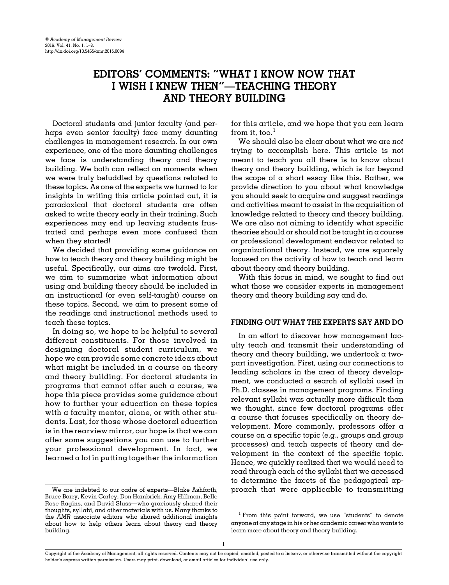# EDITORS' COMMENTS: "WHAT I KNOW NOW THAT I WISH I KNEW THEN"—TEACHING THEORY AND THEORY BUILDING

Doctoral students and junior faculty (and perhaps even senior faculty) face many daunting challenges in management research. In our own experience, one of the more daunting challenges we face is understanding theory and theory building. We both can reflect on moments when we were truly befuddled by questions related to these topics. As one of the experts we turned to for insights in writing this article pointed out, it is paradoxical that doctoral students are often asked to write theory early in their training. Such experiences may end up leaving students frustrated and perhaps even more confused than when they started!

We decided that providing some guidance on how to teach theory and theory building might be useful. Specifically, our aims are twofold. First, we aim to summarize what information about using and building theory should be included in an instructional (or even self-taught) course on these topics. Second, we aim to present some of the readings and instructional methods used to teach these topics.

In doing so, we hope to be helpful to several different constituents. For those involved in designing doctoral student curriculum, we hope we can provide some concrete ideas about what might be included in  $\alpha$  course on theory and theory building. For doctoral students in programs that cannot offer such a course, we hope this piece provides some guidance about how to further your education on these topics with a faculty mentor, alone, or with other students. Last, for those whose doctoral education is in the rearview mirror, our hope is that we can offer some suggestions you can use to further your professional development. In fact, we  $learned$   $\alpha$  lot in putting together the information

Bruce Barry, Kevin Corley, Don Hambrick, Amy Hillman, Belle Rose Ragins, and David Sluss—who graciously shared their thoughts, syllabi, and other materials with us. Many thanks to the AMR associate editors who shared additional insights about how to help others learn about theory and theory building.

for this article, and we hope that you can learn from it, too. $<sup>1</sup>$ </sup>

We should also be clear about what we are not trying to accomplish here. This article is not meant to teach you all there is to know about theory and theory building, which is far beyond the scope of  $\alpha$  short essay like this. Rather, we provide direction to you about what knowledge you should seek to acquire and suggest readings and activities meant to assist in the acquisition of knowledge related to theory and theory building. We are also not aiming to identify what specific theories should or should not be taught in a course or professional development endeavor related to organizational theory. Instead, we are squarely focused on the activity of how to teach and learn about theory and theory building.

With this focus in mind, we sought to find out what those we consider experts in management theory and theory building say and do.

## FINDING OUT WHAT THE EXPERTS SAY AND DO

In an effort to discover how management faculty teach and transmit their understanding of theory and theory building, we undertook  $\alpha$  twopart investigation. First, using our connections to leading scholars in the area of theory development, we conducted a search of syllabi used in Ph.D. classes in management programs. Finding relevant syllabi was actually more difficult than we thought, since few doctoral programs offer a course that focuses specifically on theory development. More commonly, professors offer a course on a specific topic (e.g., groups and group processes) and teach aspects of theory and development in the context of the specific topic. Hence, we quickly realized that we would need to read through each of the syllabi that we accessed to determine the facets of the pedagogical ap-We are indebted to our cadre of experts—Blake Ashforth, proach that were applicable to transmitting

<sup>1</sup> From this point forward, we use "students" to denote anyone at any stage in his or her academic career who wants to learn more about theory and theory building.

Copyright of the Academy of Management, all rights reserved. Contents may not be copied, emailed, posted to a listserv, or otherwise transmitted without the copyright holder's express written permission. Users may print, download, or email articles for individual use only.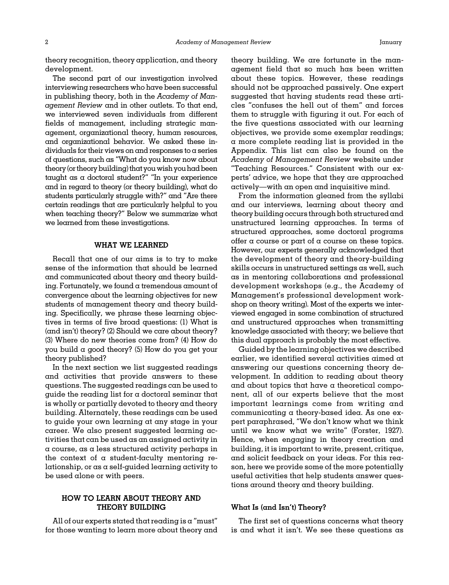theory recognition, theory application, and theory development.

The second part of our investigation involved interviewing researchers who have been successful in publishing theory, both in the Academy of Management Review and in other outlets. To that end, we interviewed seven individuals from different fields of management, including strategic management, organizational theory, human resources, and organizational behavior. We asked these individuals for their views on and responses to a series of questions, such as "What do you know now about theory (or theory building) that you wish you had been taught as a doctoral student?" "In your experience and in regard to theory (or theory building), what do students particularly struggle with?" and "Are there certain readings that are particularly helpful to you when teaching theory?" Below we summarize what we learned from these investigations.

# WHAT WE LEARNED

Recall that one of our aims is to try to make sense of the information that should be learned and communicated about theory and theory building. Fortunately, we found a tremendous amount of convergence about the learning objectives for new students of management theory and theory building. Specifically, we phrase these learning objectives in terms of five broad questions: (1) What is (and isn't) theory? (2) Should we care about theory? (3) Where do new theories come from? (4) How do you build a good theory? (5) How do you get your theory published?

In the next section we list suggested readings and activities that provide answers to these questions. The suggested readings can be used to guide the reading list for a doctoral seminar that is wholly or partially devoted to theory and theory building. Alternately, these readings can be used to guide your own learning at any stage in your career. We also present suggested learning activities that can be used as an assigned activity in a course, as a less structured activity perhaps in the context of a student-faculty mentoring relationship, or as a self-guided learning activity to be used alone or with peers.

# HOW TO LEARN ABOUT THEORY AND THEORY BUILDING

All of our experts stated that reading is a "must" for those wanting to learn more about theory and

theory building. We are fortunate in the management field that so much has been written about these topics. However, these readings should not be approached passively. One expert suggested that having students read these articles "confuses the hell out of them" and forces them to struggle with figuring it out. For each of the five questions associated with our learning objectives, we provide some exemplar readings; a more complete reading list is provided in the Appendix. This list can also be found on the Academy of Management Review website under "Teaching Resources." Consistent with our experts' advice, we hope that they are approached actively—with an open and inquisitive mind.

From the information gleaned from the syllabi and our interviews, learning about theory and theory building occurs through both structured and unstructured learning approaches. In terms of structured approaches, some doctoral programs offer  $\alpha$  course or part of  $\alpha$  course on these topics. However, our experts generally acknowledged that the development of theory and theory-building skills occurs in unstructured settings as well, such as in mentoring collaborations and professional development workshops (e.g., the Academy of Management's professional development workshop on theory writing). Most of the experts we interviewed engaged in some combination of structured and unstructured approaches when transmitting knowledge associated with theory; we believe that this dual approach is probably the most effective.

Guided by the learning objectives we described earlier, we identified several activities aimed at answering our questions concerning theory development. In addition to reading about theory and about topics that have a theoretical component, all of our experts believe that the most important learnings come from writing and communicating a theory-based idea. As one expert paraphrased, "We don't know what we think until we know what we write" [\(Forster, 1927\)](#page-5-0). Hence, when engaging in theory creation and building, it is important to write, present, critique, and solicit feedback on your ideas. For this reason, here we provide some of the more potentially useful activities that help students answer questions around theory and theory building.

# What Is (and Isn't) Theory?

The first set of questions concerns what theory is and what it isn't. We see these questions as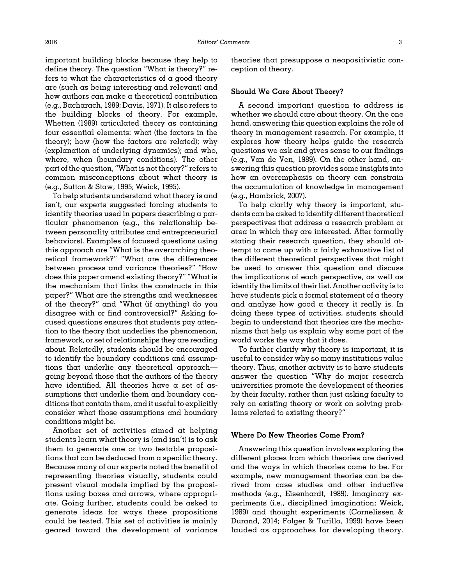important building blocks because they help to define theory. The question "What is theory?" refers to what the characteristics of  $\alpha$  good theory are (such as being interesting and relevant) and how authors can make a theoretical contribution (e.g., [Bacharach, 1989; Davis, 1971](#page-5-0)). It also refers to the building blocks of theory. For example, [Whetten \(1989\)](#page-5-0) articulated theory as containing four essential elements: what (the factors in the theory); how (how the factors are related); why (explanation of underlying dynamics); and who, where, when (boundary conditions). The other part of the question, "What is not theory?" refers to common misconceptions about what theory is (e.g., [Sutton & Staw, 1995; Weick, 1995\)](#page-5-0).

To help students understand what theory is and isn't, our experts suggested forcing students to identify theories used in papers describing a particular phenomenon (e.g., the relationship between personality attributes and entrepreneurial behaviors). Examples of focused questions using this approach are "What is the overarching theoretical framework?" "What are the differences between process and variance theories?" "How does this paper amend existing theory?" "What is the mechanism that links the constructs in this paper?" What are the strengths and weaknesses of the theory?" and "What (if anything) do you disagree with or find controversial?" Asking focused questions ensures that students pay attention to the theory that underlies the phenomenon, framework, or set of relationships they are reading about. Relatedly, students should be encouraged to identify the boundary conditions and assumptions that underlie any theoretical approach going beyond those that the authors of the theory have identified. All theories have a set of assumptions that underlie them and boundary conditions that contain them, and it useful to explicitly consider what those assumptions and boundary conditions might be.

Another set of activities aimed at helping students learn what theory is (and isn't) is to ask them to generate one or two testable propositions that can be deduced from a specific theory. Because many of our experts noted the benefit of representing theories visually, students could present visual models implied by the propositions using boxes and arrows, where appropriate. Going further, students could be asked to generate ideas for ways these propositions could be tested. This set of activities is mainly geared toward the development of variance

theories that presuppose a neopositivistic conception of theory.

#### Should We Care About Theory?

A second important question to address is whether we should care about theory. On the one hand, answering this question explains the role of theory in management research. For example, it explores how theory helps guide the research questions we ask and gives sense to our findings (e.g., [Van de Ven, 1989](#page-5-0)). On the other hand, answering this question provides some insights into how an overemphasis on theory can constrain the accumulation of knowledge in management (e.g., [Hambrick, 2007\)](#page-5-0).

To help clarify why theory is important, students can be asked to identify different theoretical perspectives that address a research problem or area in which they are interested. After formally stating their research question, they should attempt to come up with  $\alpha$  fairly exhaustive list of the different theoretical perspectives that might be used to answer this question and discuss the implications of each perspective, as well as identify the limits of their list. Another activity is to have students pick a formal statement of a theory and analyze how good a theory it really is. In doing these types of activities, students should begin to understand that theories are the mechanisms that help us explain why some part of the world works the way that it does.

To further clarify why theory is important, it is useful to consider why so many institutions value theory. Thus, another activity is to have students answer the question "Why do major research universities promote the development of theories by their faculty, rather than just asking faculty to rely on existing theory or work on solving problems related to existing theory?"

## Where Do New Theories Come From?

Answering this question involves exploring the different places from which theories are derived and the ways in which theories come to be. For example, new management theories can be derived from case studies and other inductive methods (e.g., [Eisenhardt, 1989](#page-5-0)). Imaginary experiments (i.e., disciplined imagination; [Weick,](#page-5-0) [1989\)](#page-5-0) and thought experiments [\(Cornelissen](#page-5-0) & [Durand, 2014; Folger](#page-5-0) & [Turillo, 1999](#page-5-0)) have been lauded as approaches for developing theory.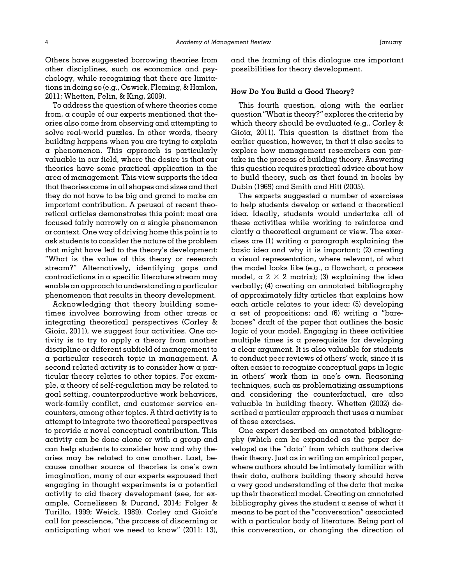Others have suggested borrowing theories from other disciplines, such as economics and psychology, while recognizing that there are limitations in doing so (e.g., [Oswick, Fleming, & Hanlon,](#page-5-0) [2011; Whetten, Felin,](#page-5-0) [& King, 2009\)](#page-5-0).

To address the question of where theories come from, a couple of our experts mentioned that theories also come from observing and attempting to solve real-world puzzles. In other words, theory building happens when you are trying to explain a phenomenon. This approach is particularly valuable in our field, where the desire is that our theories have some practical application in the area of management. This view supports the idea that theories come in all shapes and sizes and that they do not have to be big and grand to make an important contribution. A perusal of recent theoretical articles demonstrates this point: most are focused fairly narrowly on a single phenomenon or context. One way of driving home this point is to ask students to consider the nature of the problem that might have led to the theory's development: "What is the value of this theory or research stream?" Alternatively, identifying gaps and contradictions in a specific literature stream may enable an approach to understanding a particular phenomenon that results in theory development.

Acknowledging that theory building sometimes involves borrowing from other areas or integrating theoretical perspectives ([Corley &](#page-5-0) [Gioia, 2011](#page-5-0)), we suggest four activities. One activity is to try to apply a theory from another discipline or different subfield of management to a particular research topic in management. A second related activity is to consider how a particular theory relates to other topics. For example,  $\alpha$  theory of self-regulation may be related to goal setting, counterproductive work behaviors, work-family conflict, and customer service encounters, among other topics. A third activity is to attempt to integrate two theoretical perspectives to provide a novel conceptual contribution. This activity can be done alone or with a group and can help students to consider how and why theories may be related to one another. Last, because another source of theories is one's own imagination, many of our experts espoused that engaging in thought experiments is a potential activity to aid theory development (see, for example, [Cornelissen & Durand, 2014](#page-5-0); [Folger &](#page-5-0) [Turillo, 1999](#page-5-0); [Weick, 1989](#page-5-0)). Corley and Gioia's call for prescience, "the process of discerning or anticipating what we need to know" (2011: 13),

and the framing of this dialogue are important possibilities for theory development.

#### How Do You Build a Good Theory?

This fourth question, along with the earlier question"What is theory?" explores the criteria by which theory should be evaluated (e.g., [Corley](#page-5-0) & [Gioia, 2011](#page-5-0)). This question is distinct from the earlier question, however, in that it also seeks to explore how management researchers can partake in the process of building theory. Answering this question requires practical advice about how to build theory, such as that found in books by [Dubin \(1969\)](#page-5-0) and [Smith and Hitt \(2005\).](#page-5-0)

The experts suggested  $\alpha$  number of exercises to help students develop or extend a theoretical idea. Ideally, students would undertake all of these activities while working to reinforce and clarify a theoretical argument or view. The exercises are (1) writing a paragraph explaining the basic idea and why it is important; (2) creating a visual representation, where relevant, of what the model looks like (e.g., a flowchart, a process model,  $\alpha$  2  $\times$  2 matrix); (3) explaining the idea verbally; (4) creating an annotated bibliography of approximately fifty articles that explains how each article relates to your idea; (5) developing  $\alpha$  set of propositions; and (6) writing  $\alpha$  "barebones" draft of the paper that outlines the basic logic of your model. Engaging in these activities multiple times is a prerequisite for developing a clear argument. It is also valuable for students to conduct peer reviews of others' work, since it is often easier to recognize conceptual gaps in logic in others' work than in one's own. Reasoning techniques, such as problematizing assumptions and considering the counterfactual, are also valuable in building theory. [Whetten \(2002\)](#page-5-0) described a particular approach that uses a number of these exercises.

One expert described an annotated bibliography (which can be expanded as the paper develops) as the "data" from which authors derive their theory. Just as in writing an empirical paper, where authors should be intimately familiar with their data, authors building theory should have a very good understanding of the data that make up their theoretical model. Creating an annotated bibliography gives the student  $\alpha$  sense of what it means to be part of the "conversation" associated with a particular body of literature. Being part of this conversation, or changing the direction of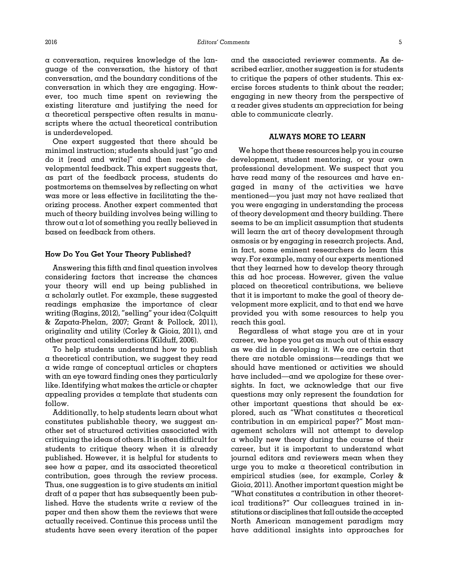a conversation, requires knowledge of the language of the conversation, the history of that conversation, and the boundary conditions of the conversation in which they are engaging. However, too much time spent on reviewing the existing literature and justifying the need for a theoretical perspective often results in manuscripts where the actual theoretical contribution is underdeveloped.

One expert suggested that there should be minimal instruction; students should just "go and do it [read and write]" and then receive developmental feedback. This expert suggests that, as part of the feedback process, students do postmortems on themselves by reflecting on what was more or less effective in facilitating the theorizing process. Another expert commented that much of theory building involves being willing to throw out a lot of something you really believed in based on feedback from others.

## How Do You Get Your Theory Published?

Answering this fifth and final question involves considering factors that increase the chances your theory will end up being published in a scholarly outlet. For example, these suggested readings emphasize the importance of clear writing ([Ragins, 2012\)](#page-5-0), "selling" your idea ([Colquitt](#page-5-0) & [Zapata-Phelan, 2007](#page-5-0); [Grant & Pollock, 2011\)](#page-5-0), originality and utility ([Corley & Gioia, 2011\)](#page-5-0), and other practical considerations [\(Kilduff, 2006](#page-5-0)).

To help students understand how to publish a theoretical contribution, we suggest they read a wide range of conceptual articles or chapters with an eye toward finding ones they particularly like. Identifying what makes the article or chapter appealing provides a template that students can follow.

Additionally, to help students learn about what constitutes publishable theory, we suggest another set of structured activities associated with critiquing the ideas of others. It is often difficult for students to critique theory when it is already published. However, it is helpful for students to see how a paper, and its associated theoretical contribution, goes through the review process. Thus, one suggestion is to give students an initial draft of a paper that has subsequently been published. Have the students write a review of the paper and then show them the reviews that were actually received. Continue this process until the students have seen every iteration of the paper

and the associated reviewer comments. As described earlier, another suggestion is for students to critique the papers of other students. This exercise forces students to think about the reader; engaging in new theory from the perspective of a reader gives students an appreciation for being able to communicate clearly.

## ALWAYS MORE TO LEARN

We hope that these resources help you in course development, student mentoring, or your own professional development. We suspect that you have read many of the resources and have engaged in many of the activities we have mentioned—you just may not have realized that you were engaging in understanding the process of theory development and theory building. There seems to be an implicit assumption that students will learn the art of theory development through osmosis or by engaging in research projects. And, in fact, some eminent researchers do learn this way. For example, many of our experts mentioned that they learned how to develop theory through this ad hoc process. However, given the value placed on theoretical contributions, we believe that it is important to make the goal of theory development more explicit, and to that end we have provided you with some resources to help you reach this goal.

Regardless of what stage you are at in your career, we hope you get as much out of this essay as we did in developing it. We are certain that there are notable omissions—readings that we should have mentioned or activities we should have included—and we apologize for these oversights. In fact, we acknowledge that our five questions may only represent the foundation for other important questions that should be explored, such as "What constitutes a theoretical contribution in an empirical paper?" Most management scholars will not attempt to develop a wholly new theory during the course of their career, but it is important to understand what journal editors and reviewers mean when they urge you to make a theoretical contribution in empirical studies (see, for example, [Corley](#page-5-0) & [Gioia, 2011\)](#page-5-0). Another important question might be "What constitutes a contribution in other theoretical traditions?" Our colleagues trained in institutions or disciplines that fall outside the accepted North American management paradigm may have additional insights into approaches for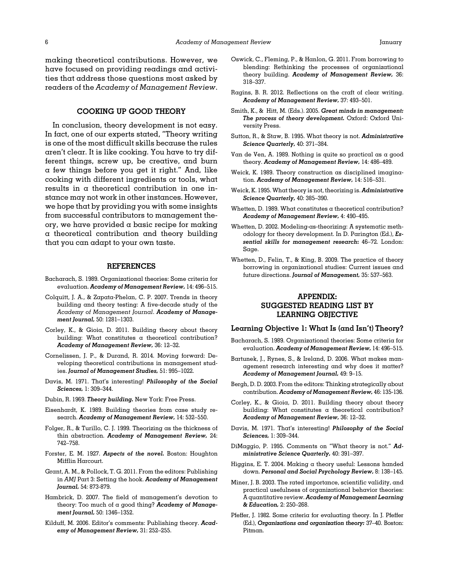<span id="page-5-0"></span>making theoretical contributions. However, we have focused on providing readings and activities that address those questions most asked by readers of the Academy of Management Review.

# COOKING UP GOOD THEORY

In conclusion, theory development is not easy. In fact, one of our experts stated, "Theory writing is one of the most difficult skills because the rules aren't clear. It is like cooking. You have to try different things, screw up, be creative, and burn a few things before you get it right." And, like cooking with different ingredients or tools, what results in a theoretical contribution in one instance may not work in other instances. However, we hope that by providing you with some insights from successful contributors to management theory, we have provided a basic recipe for making a theoretical contribution and theory building that you can adapt to your own taste.

#### REFERENCES

- Bacharach, S. 1989. Organizational theories: Some criteria for evaluation. Academy of Management Review, 14: 496–515.
- Colquitt, J. A., & Zapata-Phelan, C. P. 2007. Trends in theory building and theory testing: A five-decade study of the Academy of Management Journal. Academy of Management Journal, 50: 1281–1303.
- Corley, K., & Gioia, D. 2011. Building theory about theory building: What constitutes a theoretical contribution? Academy of Management Review, 36: 12–32.
- Cornelissen, J. P., & Durand, R. 2014. Moving forward: Developing theoretical contributions in management studies. Journal of Management Studies, 51: 995–1022.
- Davis, M. 1971. That's interesting! Philosophy of the Social Sciences, 1: 309–344.
- Dubin, R. 1969. Theory building. New York: Free Press.
- Eisenhardt, K. 1989. Building theories from case study research. Academy of Management Review, 14: 532–550.
- Folger, R., & Turillo, C. J. 1999. Theorizing as the thickness of thin abstraction. Academy of Management Review, 24: 742–758.
- Forster, E. M. 1927. Aspects of the novel. Boston: Houghton Mifflin Harcourt.
- Grant, A. M., & Pollock, T. G. 2011. From the editors: Publishing in AMJ Part 3: Setting the hook. Academy of Management Journal, 54: 873-879.
- Hambrick, D. 2007. The field of management's devotion to theory: Too much of  $\alpha$  good thing? Academy of Management Journal, 50: 1346–1352.
- Kilduff, M. 2006. Editor's comments: Publishing theory. Academy of Management Review, 31: 252–255.
- Oswick, C., Fleming, P., & Hanlon, G. 2011. From borrowing to blending: Rethinking the processes of organizational theory building. Academy of Management Review, 36: 318–337.
- Ragins, B. R. 2012. Reflections on the craft of clear writing. Academy of Management Review, 37: 493–501.
- Smith, K., & Hitt, M. (Eds.). 2005. Great minds in management: The process of theory development. Oxford: Oxford University Press.
- Sutton, R., & Staw, B. 1995. What theory is not. Administrative Science Quarterly, 40: 371–384.
- Van de Ven, A. 1989. Nothing is quite so practical as a good theory. Academy of Management Review, 14: 486–489.
- Weick, K. 1989. Theory construction as disciplined imagination. Academy of Management Review, 14: 516–531.
- Weick, K. 1995. What theory is not, theorizing is. Administrative Science Quarterly, 40: 385–390.
- Whetten, D. 1989. What constitutes a theoretical contribution? Academy of Management Review, 4: 490–495.
- Whetten, D. 2002. Modeling-as-theorizing: A systematic methodology for theory development. In D. Parington (Ed.), Essential skills for management research: 46–72. London: Sage.
- Whetten, D., Felin, T., & King, B. 2009. The practice of theory borrowing in organizational studies: Current issues and future directions. Journal of Management, 35: 537–563.

# APPENDIX: SUGGESTED READING LIST BY LEARNING OBJECTIVE

#### Learning Objective 1: What Is (and Isn't) Theory?

- Bacharach, S. 1989. Organizational theories: Some criteria for evaluation. Academy of Management Review, 14: 496–515.
- Bartunek, J., Rynes, S., & Ireland, D. 2006. What makes management research interesting and why does it matter? Academy of Management Journal, 49: 9–15.
- Bergh, D. D. 2003. From the editors: Thinking strategically about contribution. Academy of Management Review, 46: 135-136.
- Corley, K., & Gioia, D. 2011. Building theory about theory building: What constitutes a theoretical contribution? Academy of Management Review, 36: 12–32.
- Davis, M. 1971. That's interesting! Philosophy of the Social Sciences, 1: 309–344.
- DiMaggio, P. 1995. Comments on "What theory is not." Administrative Science Quarterly, 40: 391–397.
- Higgins, E. T. 2004. Making a theory useful: Lessons handed down. Personal and Social Psychology Review, 8: 138–145.
- Miner, J. B. 2003. The rated importance, scientific validity, and practical usefulness of organizational behavior theories: A quantitative review. Academy of Management Learning & Education, 2: 250–268.
- Pfeffer, J. 1982. Some criteria for evaluating theory. In J. Pfeffer (Ed.), Organizations and organization theory: 37–40. Boston: Pitman.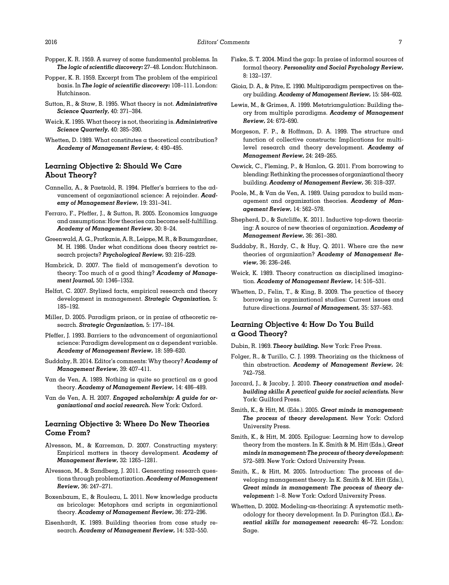- Popper, K. R. 1959. A survey of some fundamental problems. In The logic of scientific discovery: 27–48. London: Hutchinson.
- Popper, K. R. 1959. Excerpt from The problem of the empirical basis. In The logic of scientific discovery: 108–111. London: Hutchinson.
- Sutton, R., & Staw, B. 1995. What theory is not. Administrative Science Quarterly, 40: 371–384.
- Weick, K. 1995. What theory is not, theorizing is. Administrative Science Quarterly, 40: 385–390.
- Whetten, D. 1989. What constitutes a theoretical contribution? Academy of Management Review, 4: 490–495.

# Learning Objective 2: Should We Care About Theory?

- Cannella, A., & Paetzold, R. 1994. Pfeffer's barriers to the advancement of organizational science: A rejoinder. Academy of Management Review, 19: 331–341.
- Ferraro, F., Pfeffer, J., & Sutton, R. 2005. Economics language and assumptions: How theories can become self-fulfilling. Academy of Management Review, 30: 8–24.
- Greenwald, A. G., Pratkanis, A. R., Leippe, M. R., & Baumgardner, M. H. 1986. Under what conditions does theory restrict research projects? Psychological Review, 93: 216–229.
- Hambrick, D. 2007. The field of management's devotion to theory: Too much of  $\alpha$  good thing? Academy of Management Journal, 50: 1346–1352.
- Helfat, C. 2007. Stylized facts, empirical research and theory development in management. Strategic Organization, 5: 185–192.
- Miller, D. 2005. Paradigm prison, or in praise of atheoretic research. Strategic Organization, 5: 177–184.
- Pfeffer, J. 1993. Barriers to the advancement of organizational science: Paradigm development as a dependent variable. Academy of Management Review, 18: 599–620.
- Suddaby, R. 2014. Editor's comments: Why theory? Academy of Management Review, 39: 407–411.
- Van de Ven, A. 1989. Nothing is quite so practical as a good theory. Academy of Management Review, 14: 486–489.
- Van de Ven, A. H. 2007. Engaged scholarship: A guide for organizational and social research. New York: Oxford.

# Learning Objective 3: Where Do New Theories Come From?

- Alvesson, M., & Karreman, D. 2007. Constructing mystery: Empirical matters in theory development. Academy of Management Review, 32: 1265–1281.
- Alvesson, M., & Sandberg, J. 2011. Generating research questions through problematization. Academy of Management Review, 36: 247–271.
- Boxenbaum, E., & Rouleau, L. 2011. New knowledge products as bricolage: Metaphors and scripts in organizational theory. Academy of Management Review, 36: 272–296.
- Eisenhardt, K. 1989. Building theories from case study research. Academy of Management Review, 14: 532–550.
- Fiske, S. T. 2004. Mind the gap: In praise of informal sources of formal theory. Personality and Social Psychology Review, 8: 132–137.
- Gioia, D. A., & Pitre, E. 1990. Multiparadigm perspectives on theory building. Academy of Management Review, 15: 584–602.
- Lewis, M., & Grimes, A. 1999. Metatriangulation: Building theory from multiple paradigms. Academy of Management Review, 24: 672–690.
- Morgeson, F. P., & Hoffman, D. A. 1999. The structure and function of collective constructs: Implications for multilevel research and theory development. Academy of Management Review, 24: 249–265.
- Oswick, C., Fleming, P., & Hanlon, G. 2011. From borrowing to blending: Rethinking the processes of organizational theory building. Academy of Management Review, 36: 318–337.
- Poole, M., & Van de Ven, A. 1989. Using paradox to build management and organization theories. Academy of Management Review, 14: 562–578.
- Shepherd, D., & Sutcliffe, K. 2011. Inductive top-down theorizing: A source of new theories of organization. Academy of Management Review, 36: 361–380.
- Suddaby, R., Hardy, C., & Huy, Q. 2011. Where are the new theories of organization? Academy of Management Review, 36: 236–246.
- Weick, K. 1989. Theory construction as disciplined imagination. Academy of Management Review, 14: 516–531.
- Whetten, D., Felin, T., & King, B. 2009. The practice of theory borrowing in organizational studies: Current issues and future directions. Journal of Management, 35: 537–563.

# Learning Objective 4: How Do You Build a Good Theory?

Dubin, R. 1969. Theory building. New York: Free Press.

- Folger, R., & Turillo, C. J. 1999. Theorizing as the thickness of thin abstraction. Academy of Management Review, 24: 742–758.
- Jaccard, J., & Jacoby, J. 2010. Theory construction and modelbuilding skills: A practical guide for social scientists. New York: Guilford Press.
- Smith, K., & Hitt, M. (Eds.). 2005. Great minds in management: The process of theory development. New York: Oxford University Press.
- Smith, K., & Hitt, M. 2005. Epilogue: Learning how to develop theory from the masters. In K. Smith & M. Hitt (Eds.), Great minds in management: The process of theory development: 572–589. New York: Oxford University Press.
- Smith, K., & Hitt, M. 2005. Introduction: The process of developing management theory. In K. Smith & M. Hitt (Eds.), Great minds in management: The process of theory development: 1–8. New York: Oxford University Press.
- Whetten, D. 2002. Modeling-as-theorizing: A systematic methodology for theory development. In D. Parington (Ed.), Essential skills for management research: 46–72. London: Sage.